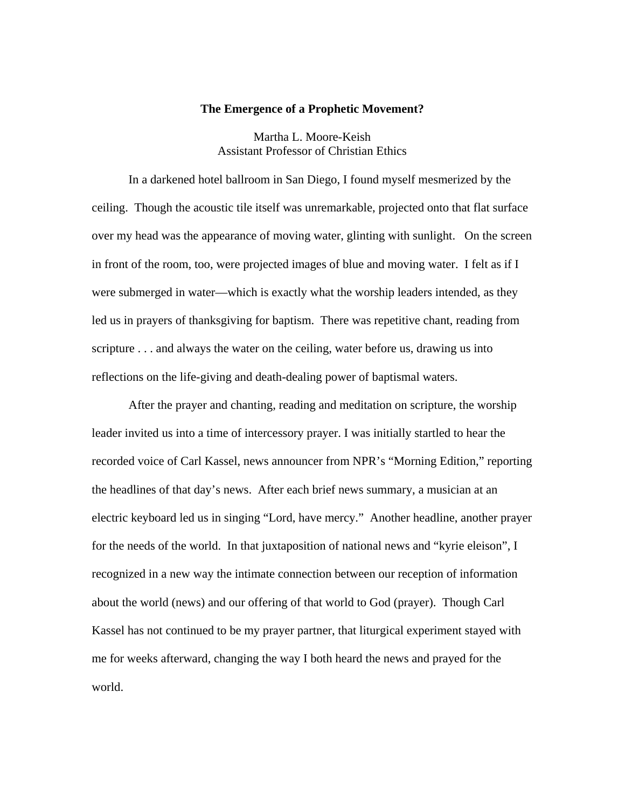## **The Emergence of a Prophetic Movement?**

Martha L. Moore-Keish Assistant Professor of Christian Ethics

 In a darkened hotel ballroom in San Diego, I found myself mesmerized by the ceiling. Though the acoustic tile itself was unremarkable, projected onto that flat surface over my head was the appearance of moving water, glinting with sunlight. On the screen in front of the room, too, were projected images of blue and moving water. I felt as if I were submerged in water—which is exactly what the worship leaders intended, as they led us in prayers of thanksgiving for baptism. There was repetitive chant, reading from scripture . . . and always the water on the ceiling, water before us, drawing us into reflections on the life-giving and death-dealing power of baptismal waters.

 After the prayer and chanting, reading and meditation on scripture, the worship leader invited us into a time of intercessory prayer. I was initially startled to hear the recorded voice of Carl Kassel, news announcer from NPR's "Morning Edition," reporting the headlines of that day's news. After each brief news summary, a musician at an electric keyboard led us in singing "Lord, have mercy." Another headline, another prayer for the needs of the world. In that juxtaposition of national news and "kyrie eleison", I recognized in a new way the intimate connection between our reception of information about the world (news) and our offering of that world to God (prayer). Though Carl Kassel has not continued to be my prayer partner, that liturgical experiment stayed with me for weeks afterward, changing the way I both heard the news and prayed for the world.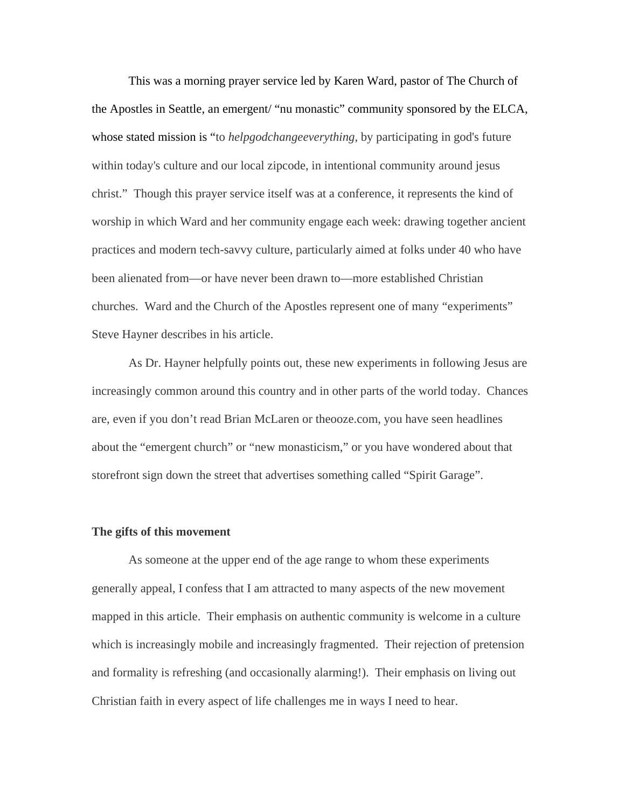This was a morning prayer service led by Karen Ward, pastor of The Church of the Apostles in Seattle, an emergent/ "nu monastic" community sponsored by the ELCA, whose stated mission is "to *helpgodchangeeverything,* by participating in god's future within today's culture and our local zipcode, in intentional community around jesus christ." Though this prayer service itself was at a conference, it represents the kind of worship in which Ward and her community engage each week: drawing together ancient practices and modern tech-savvy culture, particularly aimed at folks under 40 who have been alienated from—or have never been drawn to—more established Christian churches. Ward and the Church of the Apostles represent one of many "experiments" Steve Hayner describes in his article.

 As Dr. Hayner helpfully points out, these new experiments in following Jesus are increasingly common around this country and in other parts of the world today. Chances are, even if you don't read Brian McLaren or theooze.com, you have seen headlines about the "emergent church" or "new monasticism," or you have wondered about that storefront sign down the street that advertises something called "Spirit Garage".

## **The gifts of this movement**

 As someone at the upper end of the age range to whom these experiments generally appeal, I confess that I am attracted to many aspects of the new movement mapped in this article. Their emphasis on authentic community is welcome in a culture which is increasingly mobile and increasingly fragmented. Their rejection of pretension and formality is refreshing (and occasionally alarming!). Their emphasis on living out Christian faith in every aspect of life challenges me in ways I need to hear.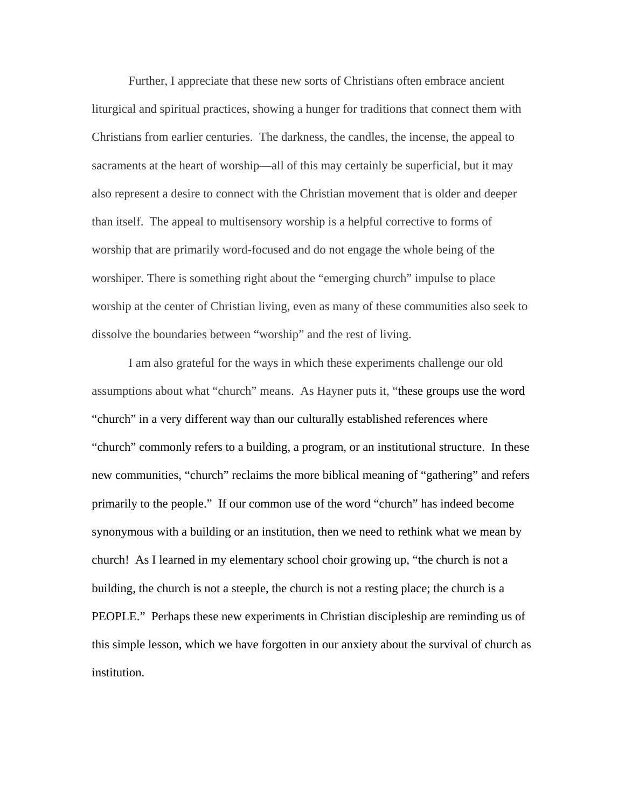Further, I appreciate that these new sorts of Christians often embrace ancient liturgical and spiritual practices, showing a hunger for traditions that connect them with Christians from earlier centuries. The darkness, the candles, the incense, the appeal to sacraments at the heart of worship—all of this may certainly be superficial, but it may also represent a desire to connect with the Christian movement that is older and deeper than itself. The appeal to multisensory worship is a helpful corrective to forms of worship that are primarily word-focused and do not engage the whole being of the worshiper. There is something right about the "emerging church" impulse to place worship at the center of Christian living, even as many of these communities also seek to dissolve the boundaries between "worship" and the rest of living.

 I am also grateful for the ways in which these experiments challenge our old assumptions about what "church" means. As Hayner puts it, "these groups use the word "church" in a very different way than our culturally established references where "church" commonly refers to a building, a program, or an institutional structure. In these new communities, "church" reclaims the more biblical meaning of "gathering" and refers primarily to the people." If our common use of the word "church" has indeed become synonymous with a building or an institution, then we need to rethink what we mean by church! As I learned in my elementary school choir growing up, "the church is not a building, the church is not a steeple, the church is not a resting place; the church is a PEOPLE." Perhaps these new experiments in Christian discipleship are reminding us of this simple lesson, which we have forgotten in our anxiety about the survival of church as institution.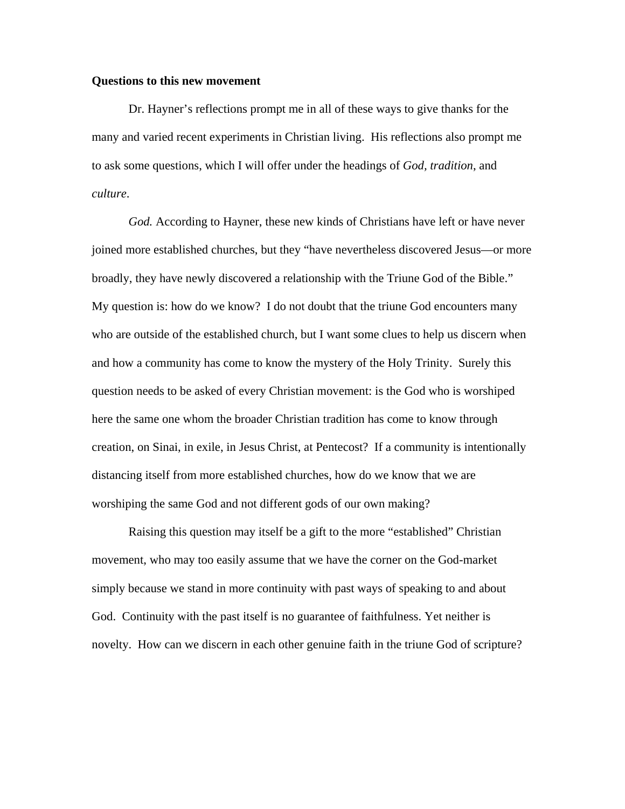## **Questions to this new movement**

 Dr. Hayner's reflections prompt me in all of these ways to give thanks for the many and varied recent experiments in Christian living. His reflections also prompt me to ask some questions, which I will offer under the headings of *God, tradition*, and *culture*.

*God.* According to Hayner, these new kinds of Christians have left or have never joined more established churches, but they "have nevertheless discovered Jesus—or more broadly, they have newly discovered a relationship with the Triune God of the Bible." My question is: how do we know? I do not doubt that the triune God encounters many who are outside of the established church, but I want some clues to help us discern when and how a community has come to know the mystery of the Holy Trinity. Surely this question needs to be asked of every Christian movement: is the God who is worshiped here the same one whom the broader Christian tradition has come to know through creation, on Sinai, in exile, in Jesus Christ, at Pentecost? If a community is intentionally distancing itself from more established churches, how do we know that we are worshiping the same God and not different gods of our own making?

Raising this question may itself be a gift to the more "established" Christian movement, who may too easily assume that we have the corner on the God-market simply because we stand in more continuity with past ways of speaking to and about God. Continuity with the past itself is no guarantee of faithfulness. Yet neither is novelty. How can we discern in each other genuine faith in the triune God of scripture?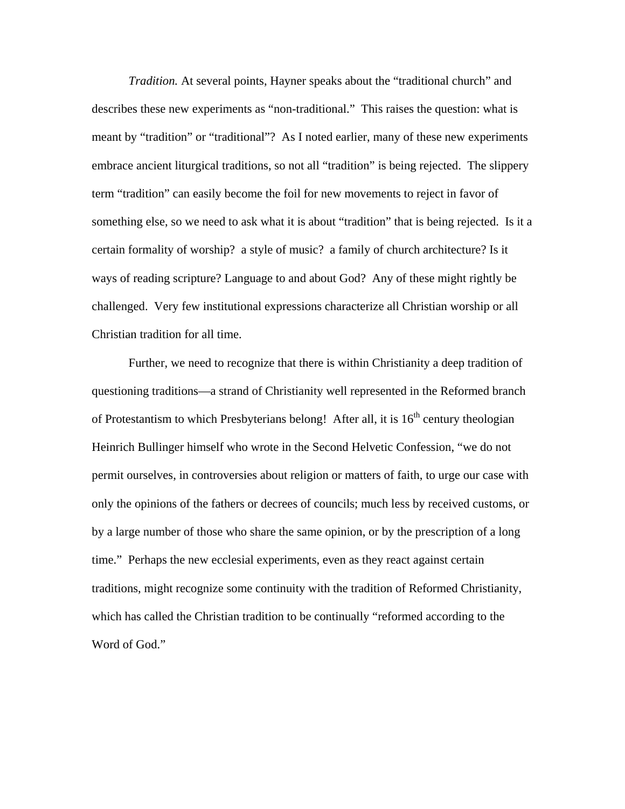*Tradition.* At several points, Hayner speaks about the "traditional church" and describes these new experiments as "non-traditional." This raises the question: what is meant by "tradition" or "traditional"? As I noted earlier, many of these new experiments embrace ancient liturgical traditions, so not all "tradition" is being rejected. The slippery term "tradition" can easily become the foil for new movements to reject in favor of something else, so we need to ask what it is about "tradition" that is being rejected. Is it a certain formality of worship? a style of music? a family of church architecture? Is it ways of reading scripture? Language to and about God? Any of these might rightly be challenged. Very few institutional expressions characterize all Christian worship or all Christian tradition for all time.

 Further, we need to recognize that there is within Christianity a deep tradition of questioning traditions—a strand of Christianity well represented in the Reformed branch of Protestantism to which Presbyterians belong! After all, it is  $16<sup>th</sup>$  century theologian Heinrich Bullinger himself who wrote in the Second Helvetic Confession, "we do not permit ourselves, in controversies about religion or matters of faith, to urge our case with only the opinions of the fathers or decrees of councils; much less by received customs, or by a large number of those who share the same opinion, or by the prescription of a long time." Perhaps the new ecclesial experiments, even as they react against certain traditions, might recognize some continuity with the tradition of Reformed Christianity, which has called the Christian tradition to be continually "reformed according to the Word of God."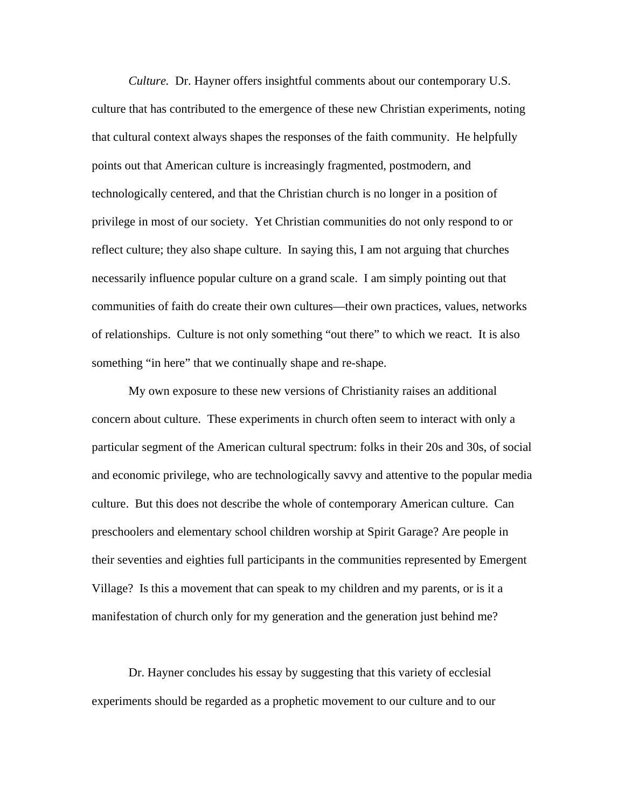*Culture.* Dr. Hayner offers insightful comments about our contemporary U.S. culture that has contributed to the emergence of these new Christian experiments, noting that cultural context always shapes the responses of the faith community. He helpfully points out that American culture is increasingly fragmented, postmodern, and technologically centered, and that the Christian church is no longer in a position of privilege in most of our society. Yet Christian communities do not only respond to or reflect culture; they also shape culture. In saying this, I am not arguing that churches necessarily influence popular culture on a grand scale. I am simply pointing out that communities of faith do create their own cultures—their own practices, values, networks of relationships. Culture is not only something "out there" to which we react. It is also something "in here" that we continually shape and re-shape.

 My own exposure to these new versions of Christianity raises an additional concern about culture. These experiments in church often seem to interact with only a particular segment of the American cultural spectrum: folks in their 20s and 30s, of social and economic privilege, who are technologically savvy and attentive to the popular media culture. But this does not describe the whole of contemporary American culture. Can preschoolers and elementary school children worship at Spirit Garage? Are people in their seventies and eighties full participants in the communities represented by Emergent Village? Is this a movement that can speak to my children and my parents, or is it a manifestation of church only for my generation and the generation just behind me?

 Dr. Hayner concludes his essay by suggesting that this variety of ecclesial experiments should be regarded as a prophetic movement to our culture and to our